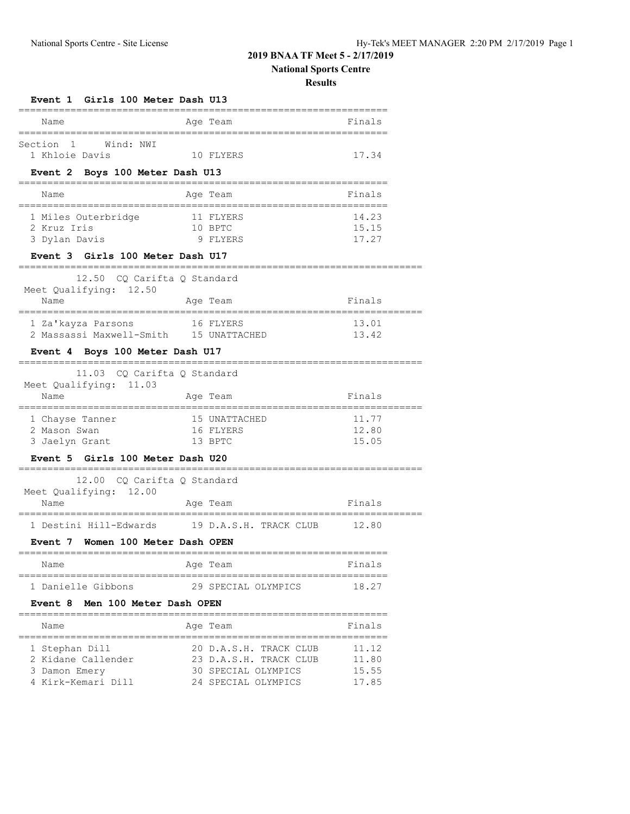## **2019 BNAA TF Meet 5 - 2/17/2019**

# **National Sports Centre**

| Event 1 Girls 100 Meter Dash U13                          |           |                                                  |                |
|-----------------------------------------------------------|-----------|--------------------------------------------------|----------------|
| Name                                                      |           | Age Team                                         | Finals         |
| $\overline{1}$<br>Wind: NWI<br>Section                    |           |                                                  |                |
| 1 Khloie Davis                                            |           | 10 FLYERS                                        | 17.34          |
| Event 2 Boys 100 Meter Dash U13                           |           |                                                  |                |
|                                                           |           |                                                  | Finals         |
| Name                                                      |           | Age Team                                         | =============  |
| 1 Miles Outerbridge                                       |           | 11 FLYERS                                        | 14.23          |
| 2 Kruz Iris                                               |           | 10 BPTC                                          | 15.15          |
| 3 Dylan Davis                                             | 9 FLYERS  |                                                  | 17.27          |
| Event 3 Girls 100 Meter Dash U17                          |           |                                                  |                |
| 12.50 CQ Carifta Q Standard                               |           |                                                  |                |
| Meet Qualifying: 12.50<br>Name                            |           | Age Team                                         | Finals         |
| =============<br>1 Za'kayza Parsons                       |           | 16 FLYERS                                        | 13.01          |
| 2 Massassi Maxwell-Smith 15 UNATTACHED                    |           |                                                  | 13.42          |
| Event 4 Boys 100 Meter Dash U17                           |           |                                                  |                |
| 11.03<br>CO Carifta O Standard                            |           |                                                  |                |
| Meet Qualifying: 11.03                                    |           |                                                  |                |
| Name<br>============                                      |           | Age Team                                         | Finals         |
| 1 Chayse Tanner                                           |           | 15 UNATTACHED                                    | 11.77          |
| 2 Mason Swan                                              | 16 FLYERS |                                                  | 12.80          |
| 3 Jaelyn Grant                                            | 13 BPTC   |                                                  | 15.05          |
| Event 5 Girls 100 Meter Dash U20                          |           |                                                  |                |
| 12.00 CQ Carifta Q Standard                               |           |                                                  |                |
| Meet Qualifying: 12.00<br>Name                            |           | Age Team                                         | Finals         |
| 1 Destini Hill-Edwards 19 D.A.S.H. TRACK CLUB 12.80       |           |                                                  |                |
| Event 7 Women 100 Meter Dash OPEN                         |           |                                                  |                |
| Name                                                      |           | Age Team                                         | Finals         |
| ===================================<br>1 Danielle Gibbons |           | :========================<br>29 SPECIAL OLYMPICS | 18.27          |
| Event 8 Men 100 Meter Dash OPEN                           |           |                                                  |                |
| Name                                                      |           | Age Team                                         | Finals         |
|                                                           |           |                                                  |                |
|                                                           |           |                                                  |                |
| 1 Stephan Dill<br>2 Kidane Callender                      |           | 20 D.A.S.H. TRACK CLUB<br>23 D.A.S.H. TRACK CLUB | 11.12<br>11.80 |
| 3 Damon Emery                                             |           | 30 SPECIAL OLYMPICS                              | 15.55          |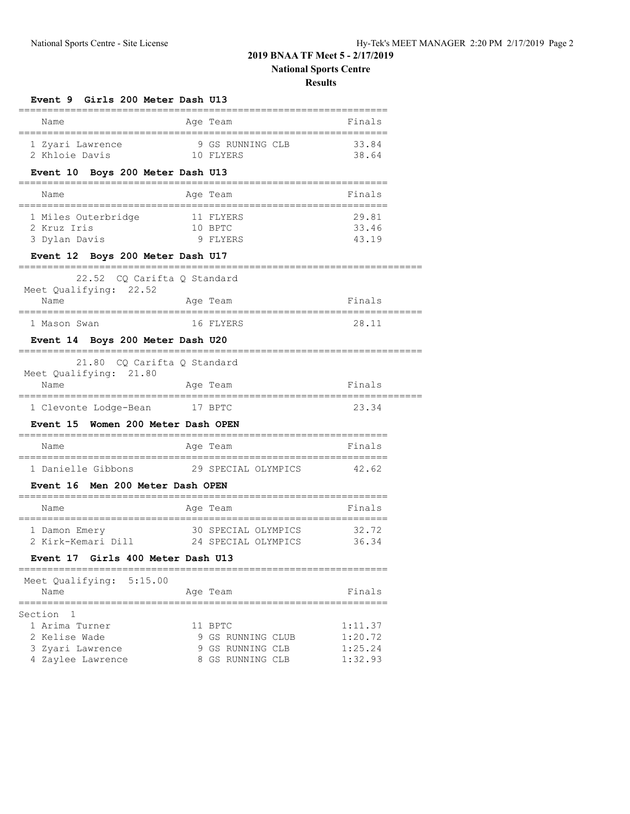## **2019 BNAA TF Meet 5 - 2/17/2019 National Sports Centre**

| <b>Event 9 Girls 200 Meter Dash U13</b>                   |                             |                                                           |         |  |
|-----------------------------------------------------------|-----------------------------|-----------------------------------------------------------|---------|--|
| Name                                                      |                             | Age Team                                                  | Finals  |  |
| 1 Zyari Lawrence                                          | :========                   | 9 GS RUNNING CLB                                          | 33.84   |  |
| 10 FLYERS<br>2 Khloie Davis                               |                             |                                                           | 38.64   |  |
| Event 10 Boys 200 Meter Dash U13                          |                             |                                                           |         |  |
| Name                                                      |                             | Age Team                                                  | Finals  |  |
| 1 Miles Outerbridge                                       |                             | 11 FLYERS                                                 | 29.81   |  |
| 2 Kruz Iris                                               |                             | 10 BPTC                                                   | 33.46   |  |
| 3 Dylan Davis                                             |                             | 9 FLYERS                                                  | 43.19   |  |
| Event 12 Boys 200 Meter Dash U17                          |                             |                                                           |         |  |
| 22.52 CQ Carifta Q Standard<br>Meet Qualifying: 22.52     |                             |                                                           |         |  |
| Name                                                      | Aqe Team                    |                                                           | Finals  |  |
| 1 Mason Swan                                              |                             | 16 FLYERS                                                 | 28.11   |  |
| Event 14 Boys 200 Meter Dash U20                          |                             |                                                           |         |  |
| 21.80<br>CQ Carifta Q Standard                            |                             |                                                           |         |  |
| Meet Qualifying: 21.80                                    |                             |                                                           |         |  |
| Name<br>---------------------------------                 |                             | Age Team<br>====================                          | Finals  |  |
| 1 Clevonte Lodge-Bean                                     | 17 BPTC                     |                                                           | 23.34   |  |
| Event 15 Women 200 Meter Dash OPEN                        |                             |                                                           |         |  |
| Name                                                      |                             | Age Team                                                  | Finals  |  |
| ===================================<br>1 Danielle Gibbons |                             | ----------------------------<br>29 SPECIAL OLYMPICS 42.62 |         |  |
| Event 16 Men 200 Meter Dash OPEN                          |                             |                                                           |         |  |
| Name                                                      |                             | Age Team                                                  | Finals  |  |
| ------------------------------<br>1 Damon Emery           |                             | . _________________________<br>30 SPECIAL OLYMPICS        | 32.72   |  |
| 2 Kirk-Kemari Dill               24 SPECIAL OLYMPICS      |                             |                                                           | 36.34   |  |
| Girls 400 Meter Dash U13<br>Event 17                      |                             |                                                           |         |  |
| Meet Qualifying: 5:15.00                                  |                             | ===========================                               |         |  |
| Name                                                      |                             | Age Team<br>______________________                        | Finals  |  |
| Section 1                                                 |                             |                                                           |         |  |
| 1 Arima Turner                                            |                             | 11 BPTC                                                   | 1:11.37 |  |
| 2 Kelise Wade                                             |                             | 9 GS RUNNING CLUB                                         | 1:20.72 |  |
| 3 Zyari Lawrence                                          |                             | 1:25.24<br>9 GS RUNNING CLB                               |         |  |
| 4 Zaylee Lawrence                                         | 1:32.93<br>8 GS RUNNING CLB |                                                           |         |  |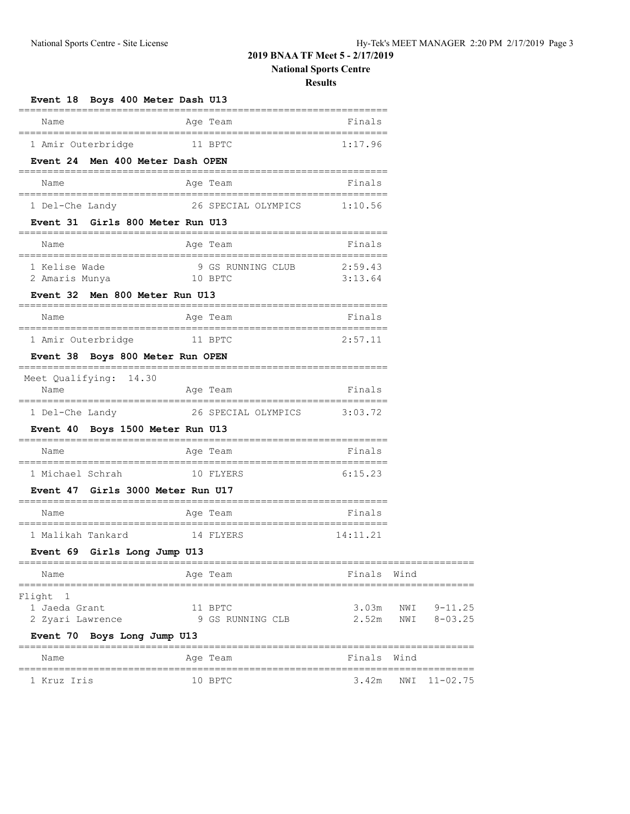## **2019 BNAA TF Meet 5 - 2/17/2019**

# **National Sports Centre**

| Event 18 Boys 400 Meter Dash U13                                         |                                        |                                         |      |                                  |
|--------------------------------------------------------------------------|----------------------------------------|-----------------------------------------|------|----------------------------------|
| Name                                                                     | Age Team                               | Finals                                  |      |                                  |
| 1 Amir Outerbridge                                                       | 11 BPTC                                | 1:17.96                                 |      |                                  |
| Event 24 Men 400 Meter Dash OPEN                                         |                                        |                                         |      |                                  |
| Name                                                                     | Age Team                               | Finals                                  |      |                                  |
| 1 Del-Che Landy                                                          | 26 SPECIAL OLYMPICS 1:10.56            |                                         |      |                                  |
| Event 31 Girls 800 Meter Run U13                                         |                                        |                                         |      |                                  |
| Name                                                                     | Age Team                               | Finals                                  |      |                                  |
| 1 Kelise Wade<br>2 Amaris Munya                                          | 9 GS RUNNING CLUB 2:59.43<br>10 BPTC   | 3:13.64                                 |      |                                  |
| Event 32 Men 800 Meter Run U13                                           |                                        |                                         |      |                                  |
| Name<br>=====================================                            | Age Team<br>-------------------------- | Finals                                  |      |                                  |
| 1 Amir Outerbridge                                                       | 11 BPTC                                | 2:57.11                                 |      |                                  |
| Event 38 Boys 800 Meter Run OPEN                                         |                                        |                                         |      |                                  |
| Meet Qualifying: 14.30<br>Name<br>.===================================== | Age Team                               | Finals                                  |      |                                  |
| 1 Del-Che Landy                                                          | 26 SPECIAL OLYMPICS 3:03.72            |                                         |      |                                  |
| Event 40 Boys 1500 Meter Run U13                                         |                                        |                                         |      |                                  |
| Name                                                                     | Age Team                               | Finals                                  |      |                                  |
| ===================================<br>1 Michael Schrah                  | 10 FLYERS                              | ============================<br>6:15.23 |      |                                  |
| Event 47 Girls 3000 Meter Run U17                                        |                                        |                                         |      |                                  |
| Name                                                                     | Age Team                               | Finals                                  |      |                                  |
| 1 Malikah Tankard                                                        | 14 FLYERS                              | 14:11.21                                |      |                                  |
| Event 69 Girls Long Jump U13                                             |                                        |                                         |      |                                  |
| Name                                                                     | Age Team                               | Finals                                  | Wind |                                  |
| Flight 1<br>1 Jaeda Grant<br>2 Zyari Lawrence                            | 11 BPTC<br>9 GS RUNNING CLB            | 3.03m                                   |      | NWI 9-11.25<br>2.52m NWI 8-03.25 |
| Event 70 Boys Long Jump U13                                              |                                        |                                         |      |                                  |
| Name                                                                     | Age Team                               | Finals Wind                             |      |                                  |
| 1 Kruz Iris                                                              | 10 BPTC                                |                                         |      | 3.42m NWI 11-02.75               |